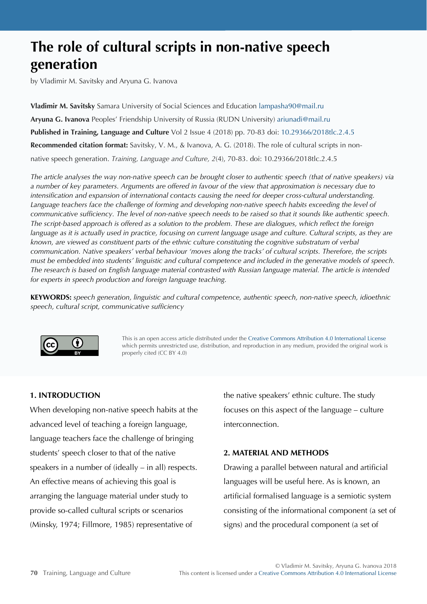# **The role of cultural scripts in non-native speech generation**

by Vladimir M. Savitsky and Aryuna G. Ivanova

**Vladimir M. Savitsky** Samara University of Social Sciences and Education [lampasha90@mail.ru](mailto:lampasha90@mail.ru) **Aryuna G. Ivanova** Peoples' Friendship University of Russia (RUDN University) [ariunadi@mail.ru](mailto:ariunadi@mail.ru) **Published in Training, Language and Culture** Vol 2 Issue 4 (2018) pp. 70-83 doi: [10.29366/2018tlc.2.4.5](http://doi.org/10.29366/2018tlc.2.4.5) **Recommended citation format:** Savitsky, V. M., & Ivanova, A. G. (2018). The role of cultural scripts in nonnative speech generation. *Training, Language and Culture, 2*(4), 70-83. doi: 10.29366/2018tlc.2.4.5

*The article analyses the way non-native speech can be brought closer to authentic speech (that of native speakers) via a number of key parameters. Arguments are offered in favour of the view that approximation is necessary due to intensification and expansion of international contacts causing the need for deeper cross-cultural understanding. Language teachers face the challenge of forming and developing non-native speech habits exceeding the level of communicative sufficiency. The level of non-native speech needs to be raised so that it sounds like authentic speech. The script-based approach is offered as a solution to the problem. These are dialogues, which reflect the foreign*  language as it is actually used in practice, focusing on current language usage and culture. Cultural scripts, as they are *known, are viewed as constituent parts of the ethnic culture constituting the cognitive substratum of verbal communication. Native speakers' verbal behaviour 'moves along the tracks' of cultural scripts. Therefore, the scripts must be embedded into students' linguistic and cultural competence and included in the generative models of speech. The research is based on English language material contrasted with Russian language material. The article is intended for experts in speech production and foreign language teaching.*

**KEYWORDS:** *speech generation, linguistic and cultural competence, authentic speech, non-native speech, idioethnic speech, cultural script, communicative sufficiency*



This is an open access article distributed under the [Creative Commons Attribution 4.0 International License](https://creativecommons.org/licenses/by/4.0) which permits unrestricted use, distribution, and reproduction in any medium, provided the original work is properly cited (CC BY 4.0)

# **1. INTRODUCTION**

When developing non-native speech habits at the advanced level of teaching a foreign language, language teachers face the challenge of bringing students' speech closer to that of the native speakers in a number of (ideally – in all) respects. An effective means of achieving this goal is arranging the language material under study to provide so-called cultural scripts or scenarios (Minsky, 1974; Fillmore, 1985) representative of

the native speakers' ethnic culture. The study focuses on this aspect of the language – culture interconnection.

# **2. MATERIAL AND METHODS**

Drawing a parallel between natural and artificial languages will be useful here. As is known, an artificial formalised language is a semiotic system consisting of the informational component (a set of signs) and the procedural component (a set of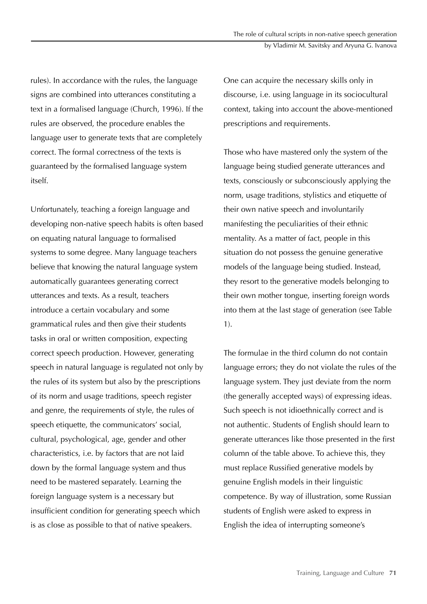rules). In accordance with the rules, the language signs are combined into utterances constituting a text in a formalised language (Church, 1996). If the rules are observed, the procedure enables the language user to generate texts that are completely correct. The formal correctness of the texts is guaranteed by the formalised language system itself.

Unfortunately, teaching a foreign language and developing non-native speech habits is often based on equating natural language to formalised systems to some degree. Many language teachers believe that knowing the natural language system automatically guarantees generating correct utterances and texts. As a result, teachers introduce a certain vocabulary and some grammatical rules and then give their students tasks in oral or written composition, expecting correct speech production. However, generating speech in natural language is regulated not only by the rules of its system but also by the prescriptions of its norm and usage traditions, speech register and genre, the requirements of style, the rules of speech etiquette, the communicators' social, cultural, psychological, age, gender and other characteristics, i.e. by factors that are not laid down by the formal language system and thus need to be mastered separately. Learning the foreign language system is a necessary but insufficient condition for generating speech which is as close as possible to that of native speakers.

One can acquire the necessary skills only in discourse, i.e. using language in its sociocultural context, taking into account the above-mentioned prescriptions and requirements.

Those who have mastered only the system of the language being studied generate utterances and texts, consciously or subconsciously applying the norm, usage traditions, stylistics and etiquette of their own native speech and involuntarily manifesting the peculiarities of their ethnic mentality. As a matter of fact, people in this situation do not possess the genuine generative models of the language being studied. Instead, they resort to the generative models belonging to their own mother tongue, inserting foreign words into them at the last stage of generation (see Table 1).

The formulae in the third column do not contain language errors; they do not violate the rules of the language system. They just deviate from the norm (the generally accepted ways) of expressing ideas. Such speech is not idioethnically correct and is not authentic. Students of English should learn to generate utterances like those presented in the first column of the table above. To achieve this, they must replace Russified generative models by genuine English models in their linguistic competence. By way of illustration, some Russian students of English were asked to express in English the idea of interrupting someone's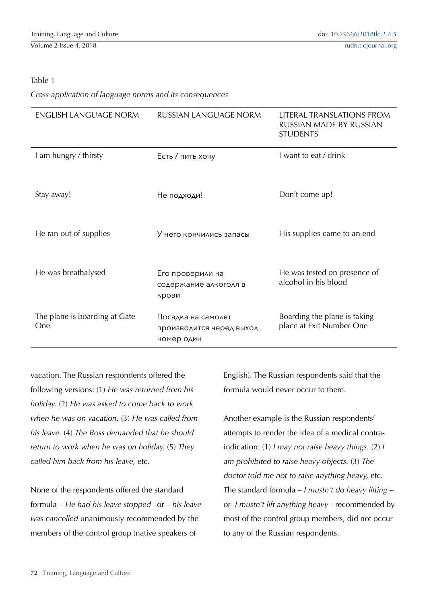### Table 1

*Cross-application of language norms and its consequences*

| <b>ENGLISH LANGUAGE NORM</b>         | RUSSIAN LANGUAGE NORM                                        | LITERAL TRANSLATIONS FROM<br>RUSSIAN MADE BY RUSSIAN<br><b>STUDENTS</b> |
|--------------------------------------|--------------------------------------------------------------|-------------------------------------------------------------------------|
| I am hungry / thirsty                | Есть / пить хочу                                             | I want to eat / drink                                                   |
| Stay away!                           | Не подходи!                                                  | Don't come up!                                                          |
| He ran out of supplies               | У него кончились запасы                                      | His supplies came to an end                                             |
| He was breathalysed                  | Его проверили на<br>содержание алкоголя в<br>крови           | He was tested on presence of<br>alcohol in his blood                    |
| The plane is boarding at Gate<br>One | Посадка на самолет<br>производится черед выход<br>номер один | Boarding the plane is taking<br>place at Exit Number One                |

vacation. The Russian respondents offered the following versions: (1) *He was returned from his holiday.* (2) *He was asked to come back to work when he was on vacation.* (3) *He was called from his leave.* (4) *The Boss demanded that he should return to work when he was on holiday.* (5) *They called him back from his leave,* etc.

None of the respondents offered the standard formula – *He had his leave stopped* –or – *his leave was cancelled* unanimously recommended by the members of the control group (native speakers of

English). The Russian respondents said that the formula would never occur to them.

Another example is the Russian respondents' attempts to render the idea of a medical contraindication: (1) *I may not raise heavy things.* (2) *I am prohibited to raise heavy objects.* (3) *The doctor told me not to raise anything heavy,* etc. The standard formula – *I mustn't do heavy lifting* – or- *I mustn't lift anything heavy* - recommended by most of the control group members, did not occur to any of the Russian respondents.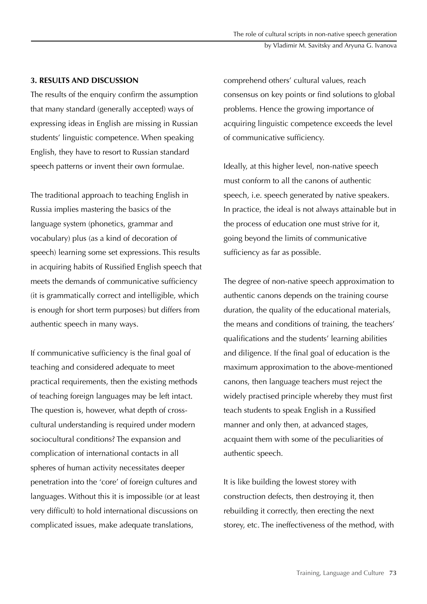#### by Vladimir M. Savitsky and Aryuna G. Ivanova

#### **3. RESULTS AND DISCUSSION**

The results of the enquiry confirm the assumption that many standard (generally accepted) ways of expressing ideas in English are missing in Russian students' linguistic competence. When speaking English, they have to resort to Russian standard speech patterns or invent their own formulae.

The traditional approach to teaching English in Russia implies mastering the basics of the language system (phonetics, grammar and vocabulary) plus (as a kind of decoration of speech) learning some set expressions. This results in acquiring habits of Russified English speech that meets the demands of communicative sufficiency (it is grammatically correct and intelligible, which is enough for short term purposes) but differs from authentic speech in many ways.

If communicative sufficiency is the final goal of teaching and considered adequate to meet practical requirements, then the existing methods of teaching foreign languages may be left intact. The question is, however, what depth of crosscultural understanding is required under modern sociocultural conditions? The expansion and complication of international contacts in all spheres of human activity necessitates deeper penetration into the 'core' of foreign cultures and languages. Without this it is impossible (or at least very difficult) to hold international discussions on complicated issues, make adequate translations,

comprehend others' cultural values, reach consensus on key points or find solutions to global problems. Hence the growing importance of acquiring linguistic competence exceeds the level of communicative sufficiency.

Ideally, at this higher level, non-native speech must conform to all the canons of authentic speech, i.e. speech generated by native speakers. In practice, the ideal is not always attainable but in the process of education one must strive for it, going beyond the limits of communicative sufficiency as far as possible.

The degree of non-native speech approximation to authentic canons depends on the training course duration, the quality of the educational materials, the means and conditions of training, the teachers' qualifications and the students' learning abilities and diligence. If the final goal of education is the maximum approximation to the above-mentioned canons, then language teachers must reject the widely practised principle whereby they must first teach students to speak English in a Russified manner and only then, at advanced stages, acquaint them with some of the peculiarities of authentic speech.

It is like building the lowest storey with construction defects, then destroying it, then rebuilding it correctly, then erecting the next storey, etc. The ineffectiveness of the method, with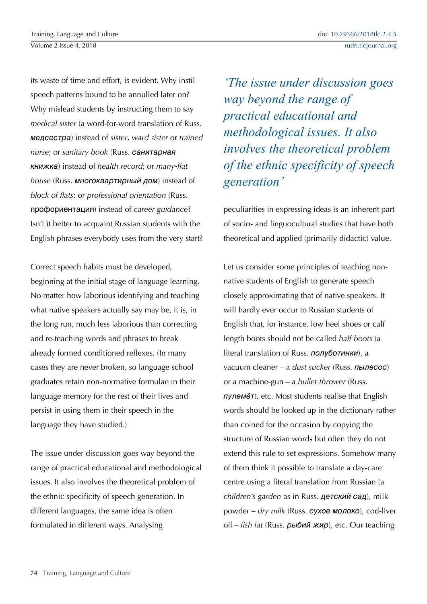its waste of time and effort, is evident. Why instil speech patterns bound to be annulled later on? Why mislead students by instructing them to say *medical sister* (a word-for-word translation of Russ. медсестра) instead of *sister*, *ward sister* or *trained nurse*; or *sanitary book* (Russ. санитарная книжка) instead of *health record*; or *many-flat house* (Russ. многоквартирный дом) instead of *block of flats*; or *professional orientation* (Russ. профориентация) instead of *career guidance*? Isn't it better to acquaint Russian students with the English phrases everybody uses from the very start?

Correct speech habits must be developed, beginning at the initial stage of language learning. No matter how laborious identifying and teaching what native speakers actually say may be, it is, in the long run, much less laborious than correcting and re-teaching words and phrases to break already formed conditioned reflexes. (In many cases they are never broken, so language school graduates retain non-normative formulae in their language memory for the rest of their lives and persist in using them in their speech in the language they have studied.)

The issue under discussion goes way beyond the range of practical educational and methodological issues. It also involves the theoretical problem of the ethnic specificity of speech generation. In different languages, the same idea is often formulated in different ways. Analysing

*'The issue under discussion goes way beyond the range of practical educational and methodological issues. It also involves the theoretical problem of the ethnic specificity of speech generation* 

peculiarities in expressing ideas is an inherent part of socio- and linguocultural studies that have both theoretical and applied (primarily didactic) value.

Let us consider some principles of teaching nonnative students of English to generate speech closely approximating that of native speakers. It will hardly ever occur to Russian students of English that, for instance, low heel shoes or calf length boots should not be called *half-boots* (a literal translation of Russ. полуботинки), a vacuum cleaner – a *dust sucker* (Russ. пылесос) or a machine-gun – a *bullet-thrower* (Russ. пулемёт), etc. Most students realise that English words should be looked up in the dictionary rather than coined for the occasion by copying the structure of Russian words but often they do not extend this rule to set expressions. Somehow many of them think it possible to translate a day-care centre using a literal translation from Russian (a *children's garden* as in Russ. детский сад), milk powder – *dry milk* (Russ. сухое молоко), cod-liver oil – *fish fat* (Russ. рыбий жир), etc. Our teaching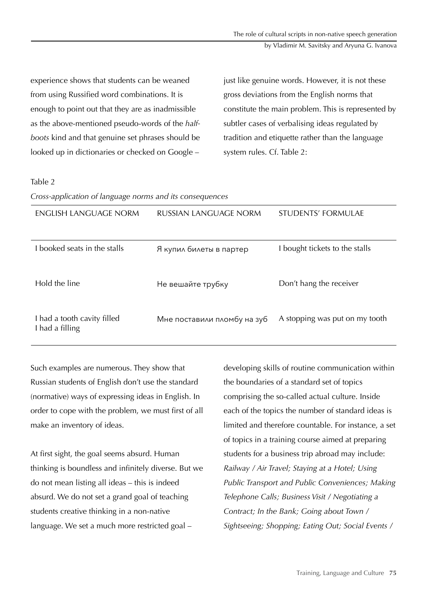by Vladimir M. Savitsky and Aryuna G. Ivanova

experience shows that students can be weaned from using Russified word combinations. It is enough to point out that they are as inadmissible as the above-mentioned pseudo-words of the *halfboots* kind and that genuine set phrases should be looked up in dictionaries or checked on Google –

just like genuine words. However, it is not these gross deviations from the English norms that constitute the main problem. This is represented by subtler cases of verbalising ideas regulated by tradition and etiquette rather than the language system rules. Cf. Table 2:

# *generation'* Table 2

*Cross-application of language norms and its consequences*

| ENGLISH LANGUAGE NORM                          | RUSSIAN LANGUAGE NORM       | STUDENTS' FORMULAE             |
|------------------------------------------------|-----------------------------|--------------------------------|
| I booked seats in the stalls                   | Я купил билеты в партер     | I bought tickets to the stalls |
| Hold the line                                  | Не вешайте трубку           | Don't hang the receiver        |
| I had a tooth cavity filled<br>I had a filling | Мне поставили пломбу на зуб | A stopping was put on my tooth |

Such examples are numerous. They show that Russian students of English don't use the standard (normative) ways of expressing ideas in English. In order to cope with the problem, we must first of all make an inventory of ideas.

At first sight, the goal seems absurd. Human thinking is boundless and infinitely diverse. But we do not mean listing all ideas – this is indeed absurd. We do not set a grand goal of teaching students creative thinking in a non-native language. We set a much more restricted goal –

developing skills of routine communication within the boundaries of a standard set of topics comprising the so-called actual culture. Inside each of the topics the number of standard ideas is limited and therefore countable. For instance, a set of topics in a training course aimed at preparing students for a business trip abroad may include: *Railway / Air Travel; Staying at a Hotel; Using Public Transport and Public Conveniences; Making Telephone Calls; Business Visit / Negotiating a Contract; In the Bank; Going about Town / Sightseeing; Shopping; Eating Out; Social Events /*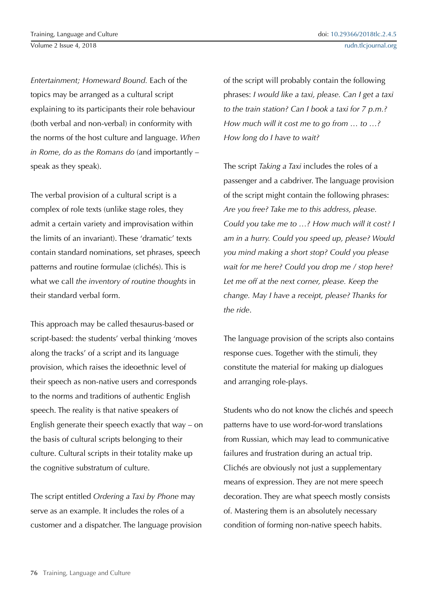*Entertainment; Homeward Bound.* Each of the topics may be arranged as a cultural script explaining to its participants their role behaviour (both verbal and non-verbal) in conformity with the norms of the host culture and language. *When in Rome, do as the Romans do* (and importantly – speak as they speak).

The verbal provision of a cultural script is a complex of role texts (unlike stage roles, they admit a certain variety and improvisation within the limits of an invariant). These 'dramatic' texts contain standard nominations, set phrases, speech patterns and routine formulae (clichés). This is what we call *the inventory of routine thoughts* in their standard verbal form.

This approach may be called thesaurus-based or script-based: the students' verbal thinking 'moves along the tracks' of a script and its language provision, which raises the ideoethnic level of their speech as non-native users and corresponds to the norms and traditions of authentic English speech. The reality is that native speakers of English generate their speech exactly that way – on the basis of cultural scripts belonging to their culture. Cultural scripts in their totality make up the cognitive substratum of culture.

The script entitled *Ordering a Taxi by Phone* may serve as an example. It includes the roles of a customer and a dispatcher. The language provision of the script will probably contain the following phrases: *I would like a taxi, please. Can I get a taxi to the train station? Can I book a taxi for 7 p.m.? How much will it cost me to go from … to …? How long do I have to wait?*

The script *Taking a Taxi* includes the roles of a passenger and a cabdriver. The language provision of the script might contain the following phrases: *Are you free? Take me to this address, please. Could you take me to …? How much will it cost? I am in a hurry. Could you speed up, please? Would you mind making a short stop? Could you please wait for me here? Could you drop me / stop here? Let me off at the next corner, please. Keep the change. May I have a receipt, please? Thanks for the ride*.

The language provision of the scripts also contains response cues. Together with the stimuli, they constitute the material for making up dialogues and arranging role-plays.

Students who do not know the clichés and speech patterns have to use word-for-word translations from Russian, which may lead to communicative failures and frustration during an actual trip. Clichés are obviously not just a supplementary means of expression. They are not mere speech decoration. They are what speech mostly consists of. Mastering them is an absolutely necessary condition of forming non-native speech habits.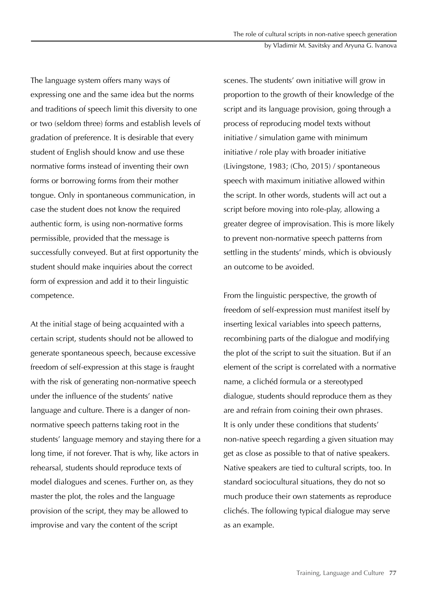#### by Vladimir M. Savitsky and Aryuna G. Ivanova

The language system offers many ways of expressing one and the same idea but the norms and traditions of speech limit this diversity to one or two (seldom three) forms and establish levels of gradation of preference. It is desirable that every student of English should know and use these normative forms instead of inventing their own forms or borrowing forms from their mother tongue. Only in spontaneous communication, in case the student does not know the required authentic form, is using non-normative forms permissible, provided that the message is successfully conveyed. But at first opportunity the student should make inquiries about the correct form of expression and add it to their linguistic competence.

At the initial stage of being acquainted with a certain script, students should not be allowed to generate spontaneous speech, because excessive freedom of self-expression at this stage is fraught with the risk of generating non-normative speech under the influence of the students' native language and culture. There is a danger of nonnormative speech patterns taking root in the students' language memory and staying there for a long time, if not forever. That is why, like actors in rehearsal, students should reproduce texts of model dialogues and scenes. Further on, as they master the plot, the roles and the language provision of the script, they may be allowed to improvise and vary the content of the script

scenes. The students' own initiative will grow in proportion to the growth of their knowledge of the script and its language provision, going through a process of reproducing model texts without initiative / simulation game with minimum initiative / role play with broader initiative (Livingstone, 1983; (Cho, 2015) / spontaneous speech with maximum initiative allowed within the script. In other words, students will act out a script before moving into role-play, allowing a greater degree of improvisation. This is more likely to prevent non-normative speech patterns from settling in the students' minds, which is obviously an outcome to be avoided.

From the linguistic perspective, the growth of freedom of self-expression must manifest itself by inserting lexical variables into speech patterns, recombining parts of the dialogue and modifying the plot of the script to suit the situation. But if an element of the script is correlated with a normative name, a clichéd formula or a stereotyped dialogue, students should reproduce them as they are and refrain from coining their own phrases. It is only under these conditions that students' non-native speech regarding a given situation may get as close as possible to that of native speakers. Native speakers are tied to cultural scripts, too. In standard sociocultural situations, they do not so much produce their own statements as reproduce clichés. The following typical dialogue may serve as an example.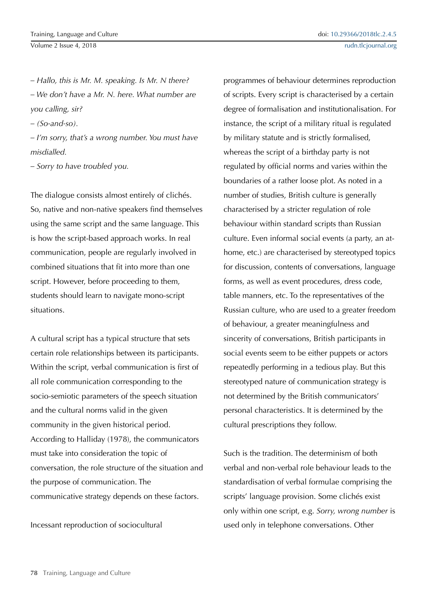*– Hallo, this is Mr. M. speaking. Is Mr. N there? – We don't have a Mr. N. here. What number are you calling, sir?*

*– (So-and-so).*

*– I'm sorry, that's a wrong number. You must have misdialled.*

*– Sorry to have troubled you.*

The dialogue consists almost entirely of clichés. So, native and non-native speakers find themselves using the same script and the same language. This is how the script-based approach works. In real communication, people are regularly involved in combined situations that fit into more than one script. However, before proceeding to them, students should learn to navigate mono-script situations.

A cultural script has a typical structure that sets certain role relationships between its participants. Within the script, verbal communication is first of all role communication corresponding to the socio-semiotic parameters of the speech situation and the cultural norms valid in the given community in the given historical period. According to Halliday (1978), the communicators must take into consideration the topic of conversation, the role structure of the situation and the purpose of communication. The communicative strategy depends on these factors.

Incessant reproduction of sociocultural

programmes of behaviour determines reproduction of scripts. Every script is characterised by a certain degree of formalisation and institutionalisation. For instance, the script of a military ritual is regulated by military statute and is strictly formalised, whereas the script of a birthday party is not regulated by official norms and varies within the boundaries of a rather loose plot. As noted in a number of studies, British culture is generally characterised by a stricter regulation of role behaviour within standard scripts than Russian culture. Even informal social events (a party, an athome, etc.) are characterised by stereotyped topics for discussion, contents of conversations, language forms, as well as event procedures, dress code, table manners, etc. To the representatives of the Russian culture, who are used to a greater freedom of behaviour, a greater meaningfulness and sincerity of conversations, British participants in social events seem to be either puppets or actors repeatedly performing in a tedious play. But this stereotyped nature of communication strategy is not determined by the British communicators' personal characteristics. It is determined by the cultural prescriptions they follow.

Such is the tradition. The determinism of both verbal and non-verbal role behaviour leads to the standardisation of verbal formulae comprising the scripts' language provision. Some clichés exist only within one script, e.g. *Sorry, wrong number* is used only in telephone conversations. Other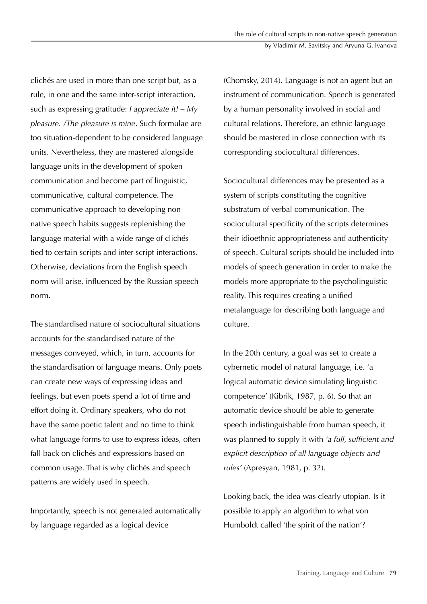clichés are used in more than one script but, as a rule, in one and the same inter-script interaction, such as expressing gratitude: *I appreciate it! – My pleasure. /The pleasure is mine*. Such formulae are too situation-dependent to be considered language units. Nevertheless, they are mastered alongside language units in the development of spoken communication and become part of linguistic, communicative, cultural competence. The communicative approach to developing nonnative speech habits suggests replenishing the language material with a wide range of clichés tied to certain scripts and inter-script interactions. Otherwise, deviations from the English speech norm will arise, influenced by the Russian speech norm.

The standardised nature of sociocultural situations accounts for the standardised nature of the messages conveyed, which, in turn, accounts for the standardisation of language means. Only poets can create new ways of expressing ideas and feelings, but even poets spend a lot of time and effort doing it. Ordinary speakers, who do not have the same poetic talent and no time to think what language forms to use to express ideas, often fall back on clichés and expressions based on common usage. That is why clichés and speech patterns are widely used in speech.

Importantly, speech is not generated automatically by language regarded as a logical device

(Chomsky, 2014). Language is not an agent but an instrument of communication. Speech is generated by a human personality involved in social and cultural relations. Therefore, an ethnic language should be mastered in close connection with its corresponding sociocultural differences.

Sociocultural differences may be presented as a system of scripts constituting the cognitive substratum of verbal communication. The sociocultural specificity of the scripts determines their idioethnic appropriateness and authenticity of speech. Cultural scripts should be included into models of speech generation in order to make the models more appropriate to the psycholinguistic reality. This requires creating a unified metalanguage for describing both language and culture.

In the 20th century, a goal was set to create a cybernetic model of natural language, i.e. 'a logical automatic device simulating linguistic competence' (Kibrik, 1987, p. 6). So that an automatic device should be able to generate speech indistinguishable from human speech, it was planned to supply it with *'a full, sufficient and explicit description of all language objects and rules'* (Apresyan, 1981, p. 32).

Looking back, the idea was clearly utopian. Is it possible to apply an algorithm to what von Humboldt called 'the spirit of the nation'?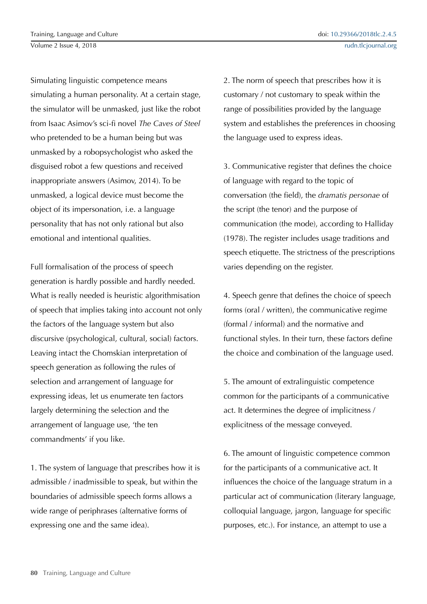Simulating linguistic competence means simulating a human personality. At a certain stage, the simulator will be unmasked, just like the robot from Isaac Asimov's sci-fi novel *The Caves of Steel* who pretended to be a human being but was unmasked by a robopsychologist who asked the disguised robot a few questions and received inappropriate answers (Asimov, 2014). To be unmasked, a logical device must become the object of its impersonation, i.e. a language personality that has not only rational but also emotional and intentional qualities.

Full formalisation of the process of speech generation is hardly possible and hardly needed. What is really needed is heuristic algorithmisation of speech that implies taking into account not only the factors of the language system but also discursive (psychological, cultural, social) factors. Leaving intact the Chomskian interpretation of speech generation as following the rules of selection and arrangement of language for expressing ideas, let us enumerate ten factors largely determining the selection and the arrangement of language use, 'the ten commandments' if you like.

1. The system of language that prescribes how it is admissible / inadmissible to speak, but within the boundaries of admissible speech forms allows a wide range of periphrases (alternative forms of expressing one and the same idea).

2. The norm of speech that prescribes how it is customary / not customary to speak within the range of possibilities provided by the language system and establishes the preferences in choosing the language used to express ideas.

3. Communicative register that defines the choice of language with regard to the topic of conversation (the field), the *dramatis personae* of the script (the tenor) and the purpose of communication (the mode), according to Halliday (1978). The register includes usage traditions and speech etiquette. The strictness of the prescriptions varies depending on the register.

4. Speech genre that defines the choice of speech forms (oral / written), the communicative regime (formal / informal) and the normative and functional styles. In their turn, these factors define the choice and combination of the language used.

5. The amount of extralinguistic competence common for the participants of a communicative act. It determines the degree of implicitness / explicitness of the message conveyed.

6. The amount of linguistic competence common for the participants of a communicative act. It influences the choice of the language stratum in a particular act of communication (literary language, colloquial language, jargon, language for specific purposes, etc.). For instance, an attempt to use a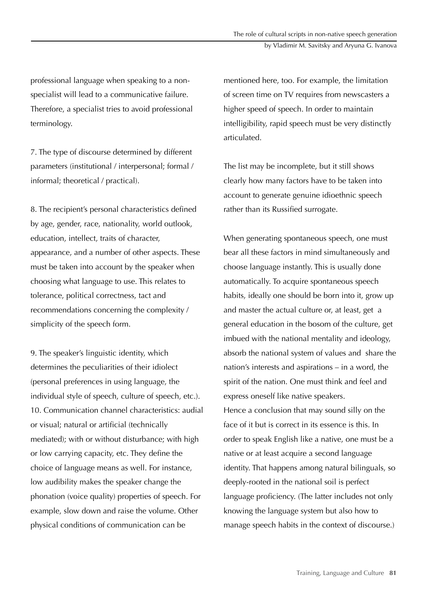professional language when speaking to a nonspecialist will lead to a communicative failure. Therefore, a specialist tries to avoid professional terminology.

7. The type of discourse determined by different parameters (institutional / interpersonal; formal / informal; theoretical / practical).

8. The recipient's personal characteristics defined by age, gender, race, nationality, world outlook, education, intellect, traits of character, appearance, and a number of other aspects. These must be taken into account by the speaker when choosing what language to use. This relates to tolerance, political correctness, tact and recommendations concerning the complexity / simplicity of the speech form.

9. The speaker's linguistic identity, which determines the peculiarities of their idiolect (personal preferences in using language, the individual style of speech, culture of speech, etc.). 10. Communication channel characteristics: audial or visual; natural or artificial (technically mediated); with or without disturbance; with high or low carrying capacity, etc. They define the choice of language means as well. For instance, low audibility makes the speaker change the phonation (voice quality) properties of speech. For example, slow down and raise the volume. Other physical conditions of communication can be

mentioned here, too. For example, the limitation of screen time on TV requires from newscasters a higher speed of speech. In order to maintain intelligibility, rapid speech must be very distinctly articulated.

The list may be incomplete, but it still shows clearly how many factors have to be taken into account to generate genuine idioethnic speech rather than its Russified surrogate.

When generating spontaneous speech, one must bear all these factors in mind simultaneously and choose language instantly. This is usually done automatically. To acquire spontaneous speech habits, ideally one should be born into it, grow up and master the actual culture or, at least, get a general education in the bosom of the culture, get imbued with the national mentality and ideology, absorb the national system of values and share the nation's interests and aspirations – in a word, the spirit of the nation. One must think and feel and express oneself like native speakers. Hence a conclusion that may sound silly on the face of it but is correct in its essence is this. In order to speak English like a native, one must be a native or at least acquire a second language identity. That happens among natural bilinguals, so deeply-rooted in the national soil is perfect language proficiency. (The latter includes not only knowing the language system but also how to manage speech habits in the context of discourse.)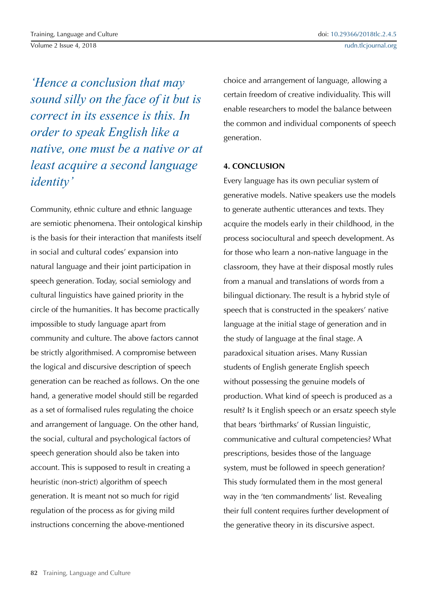Volume 2 Issue 4, 2018

*'Hence a conclusion that may* 

*sound silly on the face of it but is correct in its essence is this. In order to speak English like a native, one must be a native or at least acquire a second language identity'*

Community, ethnic culture and ethnic language are semiotic phenomena. Their ontological kinship is the basis for their interaction that manifests itself in social and cultural codes' expansion into natural language and their joint participation in speech generation. Today, social semiology and cultural linguistics have gained priority in the circle of the humanities. It has become practically impossible to study language apart from community and culture. The above factors cannot be strictly algorithmised. A compromise between the logical and discursive description of speech generation can be reached as follows. On the one hand, a generative model should still be regarded as a set of formalised rules regulating the choice and arrangement of language. On the other hand, the social, cultural and psychological factors of speech generation should also be taken into account. This is supposed to result in creating a heuristic (non-strict) algorithm of speech generation. It is meant not so much for rigid regulation of the process as for giving mild instructions concerning the above-mentioned

choice and arrangement of language, allowing a certain freedom of creative individuality. This will enable researchers to model the balance between the common and individual components of speech generation.

# **4. CONCLUSION**

Every language has its own peculiar system of generative models. Native speakers use the models to generate authentic utterances and texts. They acquire the models early in their childhood, in the process sociocultural and speech development. As for those who learn a non-native language in the classroom, they have at their disposal mostly rules from a manual and translations of words from a bilingual dictionary. The result is a hybrid style of speech that is constructed in the speakers' native language at the initial stage of generation and in the study of language at the final stage. A paradoxical situation arises. Many Russian students of English generate English speech without possessing the genuine models of production. What kind of speech is produced as a result? Is it English speech or an ersatz speech style that bears 'birthmarks' of Russian linguistic, communicative and cultural competencies? What prescriptions, besides those of the language system, must be followed in speech generation? This study formulated them in the most general way in the 'ten commandments' list. Revealing their full content requires further development of the generative theory in its discursive aspect.